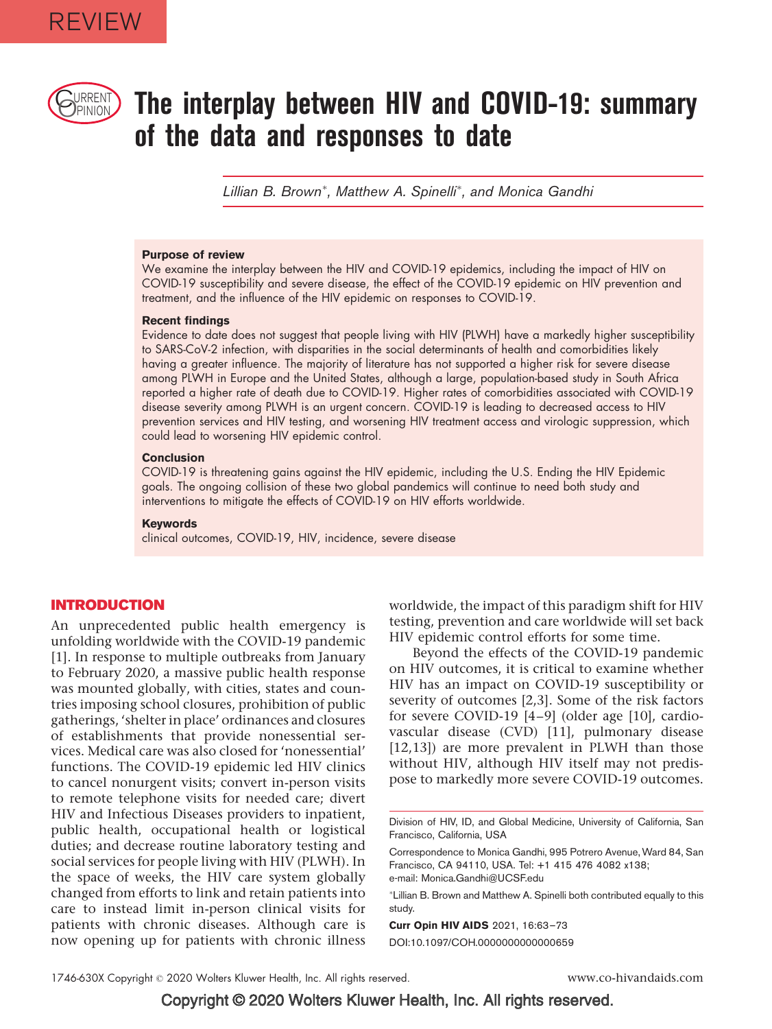

# $\text{CylRRENI}$  The interplay between HIV and COVID-19: summary of the data and responses to date

Lillian B. Brown<sup>\*</sup>, Matthew A. Spinelli<sup>\*</sup>, and Monica Gandhi

#### Purpose of review

We examine the interplay between the HIV and COVID-19 epidemics, including the impact of HIV on COVID-19 susceptibility and severe disease, the effect of the COVID-19 epidemic on HIV prevention and treatment, and the influence of the HIV epidemic on responses to COVID-19.

#### Recent findings

Evidence to date does not suggest that people living with HIV (PLWH) have a markedly higher susceptibility to SARS-CoV-2 infection, with disparities in the social determinants of health and comorbidities likely having a greater influence. The majority of literature has not supported a higher risk for severe disease among PLWH in Europe and the United States, although a large, population-based study in South Africa reported a higher rate of death due to COVID-19. Higher rates of comorbidities associated with COVID-19 disease severity among PLWH is an urgent concern. COVID-19 is leading to decreased access to HIV prevention services and HIV testing, and worsening HIV treatment access and virologic suppression, which could lead to worsening HIV epidemic control.

#### **Conclusion**

COVID-19 is threatening gains against the HIV epidemic, including the U.S. Ending the HIV Epidemic goals. The ongoing collision of these two global pandemics will continue to need both study and interventions to mitigate the effects of COVID-19 on HIV efforts worldwide.

#### Keywords

clinical outcomes, COVID-19, HIV, incidence, severe disease

## INTRODUCTION

An unprecedented public health emergency is unfolding worldwide with the COVID-19 pandemic [1]. In response to multiple outbreaks from January to February 2020, a massive public health response was mounted globally, with cities, states and countries imposing school closures, prohibition of public gatherings, 'shelter in place' ordinances and closures of establishments that provide nonessential services. Medical care was also closed for 'nonessential' functions. The COVID-19 epidemic led HIV clinics to cancel nonurgent visits; convert in-person visits to remote telephone visits for needed care; divert HIV and Infectious Diseases providers to inpatient, public health, occupational health or logistical duties; and decrease routine laboratory testing and social services for people living with HIV (PLWH). In the space of weeks, the HIV care system globally changed from efforts to link and retain patients into care to instead limit in-person clinical visits for patients with chronic diseases. Although care is now opening up for patients with chronic illness

worldwide, the impact of this paradigm shift for HIV testing, prevention and care worldwide will set back HIV epidemic control efforts for some time.

Beyond the effects of the COVID-19 pandemic on HIV outcomes, it is critical to examine whether HIV has an impact on COVID-19 susceptibility or severity of outcomes [2,3]. Some of the risk factors for severe COVID-19 [4–9] (older age [10], cardiovascular disease (CVD) [11], pulmonary disease [12,13]) are more prevalent in PLWH than those without HIV, although HIV itself may not predispose to markedly more severe COVID-19 outcomes.

Correspondence to Monica Gandhi, 995 Potrero Avenue, Ward 84, San Francisco, CA 94110, USA. Tel: +1 415 476 4082 x138; e-mail: Monica.Gandhi@UCSF.edu

- Lillian B. Brown and Matthew A. Spinelli both contributed equally to this study.

Curr Opin HIV AIDS 2021, 16:63–73 DOI:10.1097/COH.0000000000000659

Division of HIV, ID, and Global Medicine, University of California, San Francisco, California, USA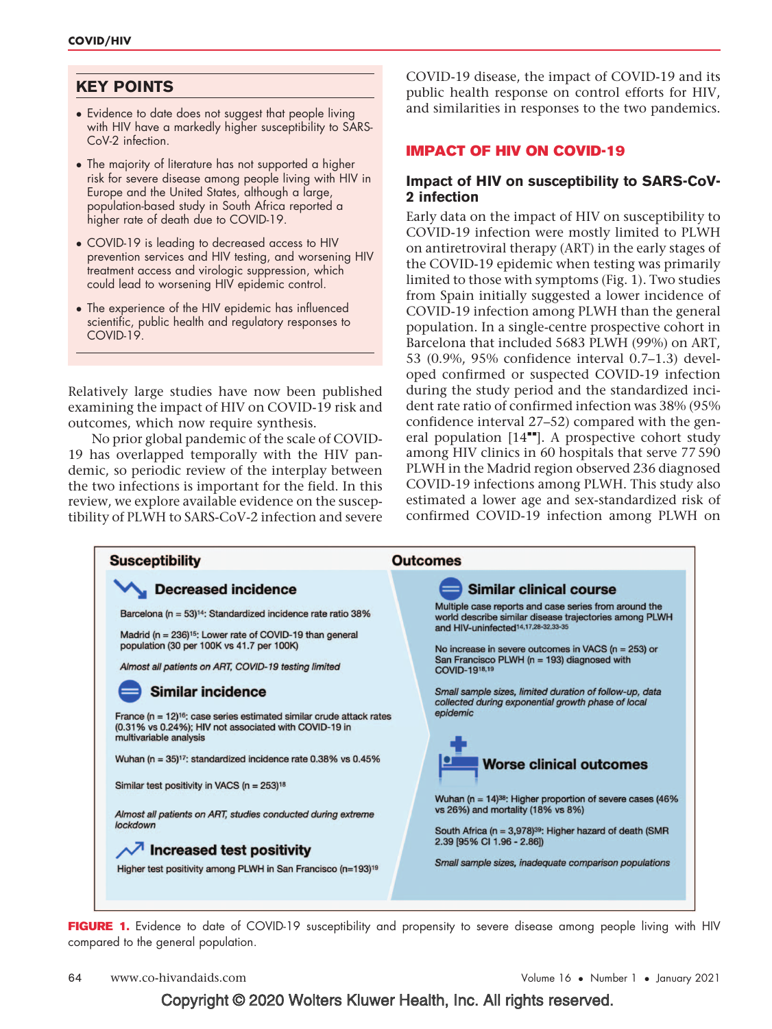# KEY POINTS

- Evidence to date does not suggest that people living with HIV have a markedly higher susceptibility to SARS-CoV-2 infection.
- The majority of literature has not supported a higher risk for severe disease among people living with HIV in Europe and the United States, although a large, population-based study in South Africa reported a higher rate of death due to COVID-19.
- COVID-19 is leading to decreased access to HIV prevention services and HIV testing, and worsening HIV treatment access and virologic suppression, which could lead to worsening HIV epidemic control.
- The experience of the HIV epidemic has influenced scientific, public health and regulatory responses to COVID-19.

Relatively large studies have now been published examining the impact of HIV on COVID-19 risk and outcomes, which now require synthesis.

No prior global pandemic of the scale of COVID-19 has overlapped temporally with the HIV pandemic, so periodic review of the interplay between the two infections is important for the field. In this review, we explore available evidence on the susceptibility of PLWH to SARS-CoV-2 infection and severe COVID-19 disease, the impact of COVID-19 and its public health response on control efforts for HIV, and similarities in responses to the two pandemics.

# IMPACT OF HIV ON COVID-19

# Impact of HIV on susceptibility to SARS-CoV-2 infection

Early data on the impact of HIV on susceptibility to COVID-19 infection were mostly limited to PLWH on antiretroviral therapy (ART) in the early stages of the COVID-19 epidemic when testing was primarily limited to those with symptoms (Fig. 1). Two studies from Spain initially suggested a lower incidence of COVID-19 infection among PLWH than the general population. In a single-centre prospective cohort in Barcelona that included 5683 PLWH (99%) on ART, 53 (0.9%, 95% confidence interval 0.7–1.3) developed confirmed or suspected COVID-19 infection during the study period and the standardized incident rate ratio of confirmed infection was 38% (95% confidence interval 27–52) compared with the general population  $[14"']$ . A prospective cohort study among HIV clinics in 60 hospitals that serve 77 590 PLWH in the Madrid region observed 236 diagnosed COVID-19 infections among PLWH. This study also estimated a lower age and sex-standardized risk of confirmed COVID-19 infection among PLWH on



FIGURE 1. Evidence to date of COVID-19 susceptibility and propensity to severe disease among people living with HIV compared to the general population.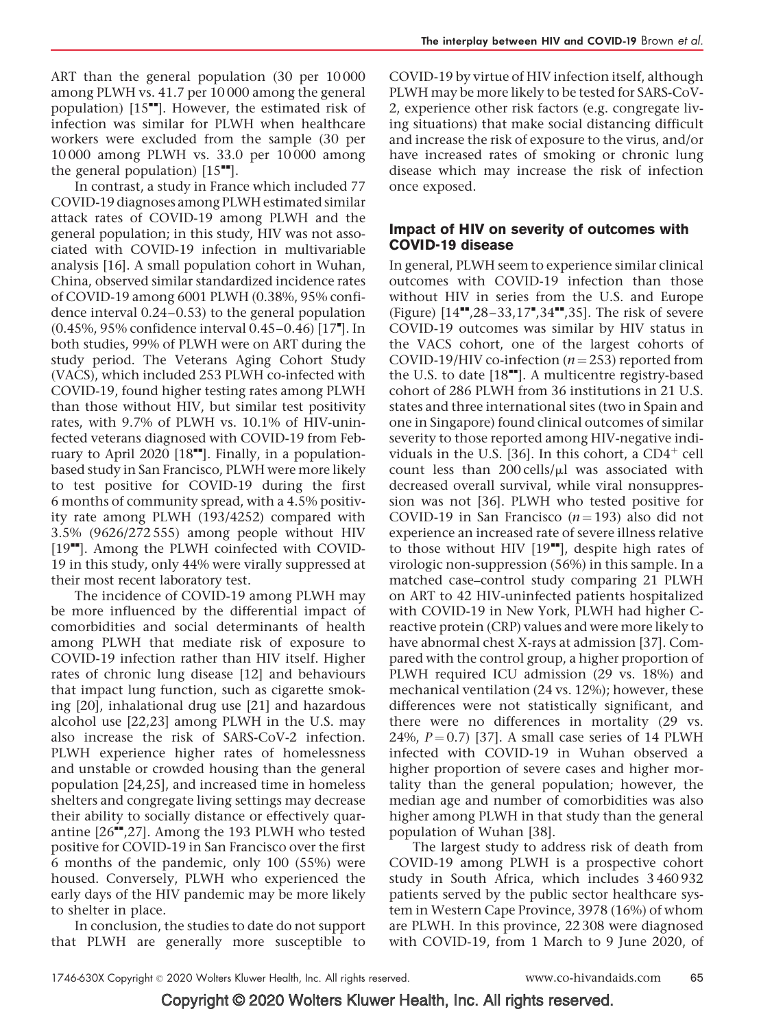ART than the general population (30 per 10 000 among PLWH vs. 41.7 per 10 000 among the general population)  $[15$ <sup> $\blacksquare$ </sup>. However, the estimated risk of infection was similar for PLWH when healthcare workers were excluded from the sample (30 per 10 000 among PLWH vs. 33.0 per 10 000 among the general population)  $[15$ <sup> $H$ </sup>].

In contrast, a study in France which included 77 COVID-19 diagnoses among PLWH estimated similar attack rates of COVID-19 among PLWH and the general population; in this study, HIV was not associated with COVID-19 infection in multivariable analysis [16]. A small population cohort in Wuhan, China, observed similar standardized incidence rates of COVID-19 among 6001 PLWH (0.38%, 95% confidence interval 0.24–0.53) to the general population (0.45%, 95% confidence interval 0.45-0.46) [17"]. In both studies, 99% of PLWH were on ART during the study period. The Veterans Aging Cohort Study (VACS), which included 253 PLWH co-infected with COVID-19, found higher testing rates among PLWH than those without HIV, but similar test positivity rates, with 9.7% of PLWH vs. 10.1% of HIV-uninfected veterans diagnosed with COVID-19 from February to April 2020  $[18"$ . Finally, in a populationbased study in San Francisco, PLWH were more likely to test positive for COVID-19 during the first 6 months of community spread, with a 4.5% positivity rate among PLWH (193/4252) compared with 3.5% (9626/272 555) among people without HIV [19<sup> $-$ </sup>]. Among the PLWH coinfected with COVID-19 in this study, only 44% were virally suppressed at their most recent laboratory test.

The incidence of COVID-19 among PLWH may be more influenced by the differential impact of comorbidities and social determinants of health among PLWH that mediate risk of exposure to COVID-19 infection rather than HIV itself. Higher rates of chronic lung disease [12] and behaviours that impact lung function, such as cigarette smoking [20], inhalational drug use [21] and hazardous alcohol use [22,23] among PLWH in the U.S. may also increase the risk of SARS-CoV-2 infection. PLWH experience higher rates of homelessness and unstable or crowded housing than the general population [24,25], and increased time in homeless shelters and congregate living settings may decrease their ability to socially distance or effectively quarantine  $[26$ <sup> $\text{I}$ </sup>,27]. Among the 193 PLWH who tested positive for COVID-19 in San Francisco over the first 6 months of the pandemic, only 100 (55%) were housed. Conversely, PLWH who experienced the early days of the HIV pandemic may be more likely to shelter in place.

In conclusion, the studies to date do not support that PLWH are generally more susceptible to

COVID-19 by virtue of HIV infection itself, although PLWH may be more likely to be tested for SARS-CoV-2, experience other risk factors (e.g. congregate living situations) that make social distancing difficult and increase the risk of exposure to the virus, and/or have increased rates of smoking or chronic lung disease which may increase the risk of infection once exposed.

# Impact of HIV on severity of outcomes with COVID-19 disease

In general, PLWH seem to experience similar clinical outcomes with COVID-19 infection than those without HIV in series from the U.S. and Europe (Figure) [14",28-33,17",34",35]. The risk of severe COVID-19 outcomes was similar by HIV status in the VACS cohort, one of the largest cohorts of COVID-19/HIV co-infection ( $n = 253$ ) reported from the U.S. to date  $[18"$ . A multicentre registry-based cohort of 286 PLWH from 36 institutions in 21 U.S. states and three international sites (two in Spain and one in Singapore) found clinical outcomes of similar severity to those reported among HIV-negative individuals in the U.S. [36]. In this cohort, a  $CD4^+$  cell count less than  $200$  cells/ $\mu$ l was associated with decreased overall survival, while viral nonsuppression was not [36]. PLWH who tested positive for COVID-19 in San Francisco ( $n = 193$ ) also did not experience an increased rate of severe illness relative to those without HIV  $[19$ <sup> $\blacksquare$ </sup>], despite high rates of virologic non-suppression (56%) in this sample. In a matched case–control study comparing 21 PLWH on ART to 42 HIV-uninfected patients hospitalized with COVID-19 in New York, PLWH had higher Creactive protein (CRP) values and were more likely to have abnormal chest X-rays at admission [37]. Compared with the control group, a higher proportion of PLWH required ICU admission (29 vs. 18%) and mechanical ventilation (24 vs. 12%); however, these differences were not statistically significant, and there were no differences in mortality (29 vs. 24%,  $P = 0.7$  [37]. A small case series of 14 PLWH infected with COVID-19 in Wuhan observed a higher proportion of severe cases and higher mortality than the general population; however, the median age and number of comorbidities was also higher among PLWH in that study than the general population of Wuhan [38].

The largest study to address risk of death from COVID-19 among PLWH is a prospective cohort study in South Africa, which includes 3 460 932 patients served by the public sector healthcare system in Western Cape Province, 3978 (16%) of whom are PLWH. In this province, 22 308 were diagnosed with COVID-19, from 1 March to 9 June 2020, of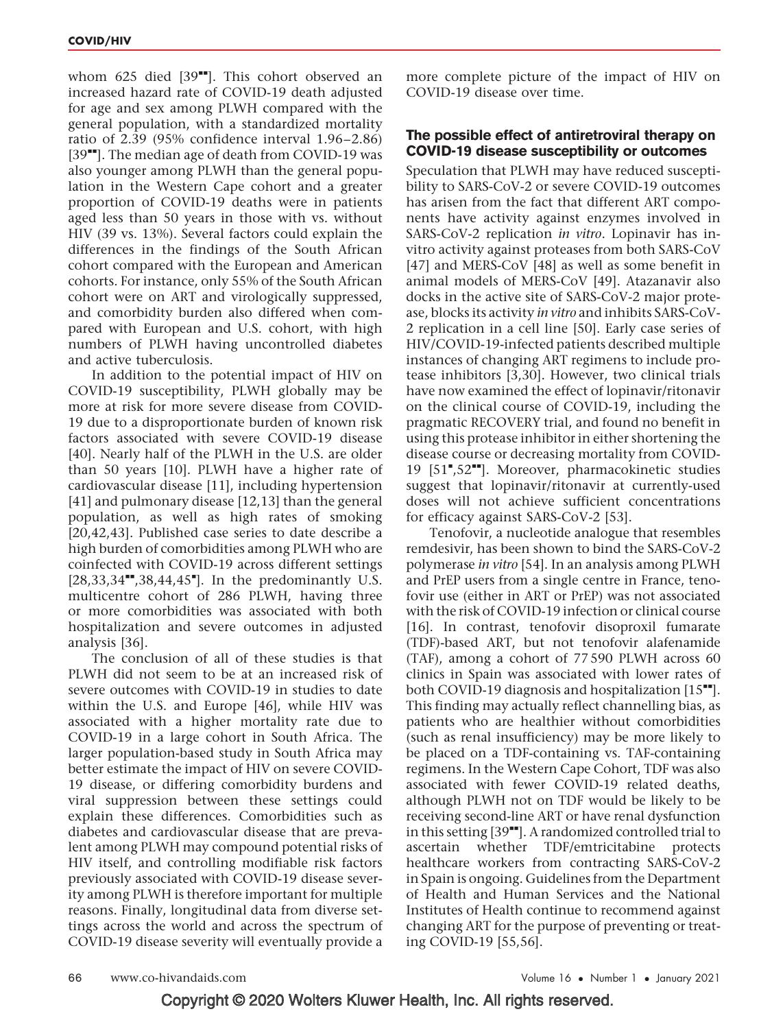whom 625 died  $[39$ <sup> $H$ </sup>]. This cohort observed an increased hazard rate of COVID-19 death adjusted for age and sex among PLWH compared with the general population, with a standardized mortality ratio of 2.39 (95% confidence interval 1.96–2.86)  $[39$ <sup> $H$ </sup>]. The median age of death from COVID-19 was also younger among PLWH than the general population in the Western Cape cohort and a greater proportion of COVID-19 deaths were in patients aged less than 50 years in those with vs. without HIV (39 vs. 13%). Several factors could explain the differences in the findings of the South African cohort compared with the European and American cohorts. For instance, only 55% of the South African cohort were on ART and virologically suppressed, and comorbidity burden also differed when compared with European and U.S. cohort, with high numbers of PLWH having uncontrolled diabetes and active tuberculosis.

In addition to the potential impact of HIV on COVID-19 susceptibility, PLWH globally may be more at risk for more severe disease from COVID-19 due to a disproportionate burden of known risk factors associated with severe COVID-19 disease [40]. Nearly half of the PLWH in the U.S. are older than 50 years [10]. PLWH have a higher rate of cardiovascular disease [11], including hypertension [41] and pulmonary disease [12,13] than the general population, as well as high rates of smoking [20,42,43]. Published case series to date describe a high burden of comorbidities among PLWH who are coinfected with COVID-19 across different settings  $[28, 33, 34$ <sup>\*\*</sup>,38,44,45<sup>\*</sup>]. In the predominantly U.S. multicentre cohort of 286 PLWH, having three or more comorbidities was associated with both hospitalization and severe outcomes in adjusted analysis [36].

The conclusion of all of these studies is that PLWH did not seem to be at an increased risk of severe outcomes with COVID-19 in studies to date within the U.S. and Europe [46], while HIV was associated with a higher mortality rate due to COVID-19 in a large cohort in South Africa. The larger population-based study in South Africa may better estimate the impact of HIV on severe COVID-19 disease, or differing comorbidity burdens and viral suppression between these settings could explain these differences. Comorbidities such as diabetes and cardiovascular disease that are prevalent among PLWH may compound potential risks of HIV itself, and controlling modifiable risk factors previously associated with COVID-19 disease severity among PLWH is therefore important for multiple reasons. Finally, longitudinal data from diverse settings across the world and across the spectrum of COVID-19 disease severity will eventually provide a more complete picture of the impact of HIV on COVID-19 disease over time.

# The possible effect of antiretroviral therapy on COVID-19 disease susceptibility or outcomes

Speculation that PLWH may have reduced susceptibility to SARS-CoV-2 or severe COVID-19 outcomes has arisen from the fact that different ART components have activity against enzymes involved in SARS-CoV-2 replication in vitro. Lopinavir has invitro activity against proteases from both SARS-CoV [47] and MERS-CoV [48] as well as some benefit in animal models of MERS-CoV [49]. Atazanavir also docks in the active site of SARS-CoV-2 major protease, blocks its activity in vitro and inhibits SARS-CoV-2 replication in a cell line [50]. Early case series of HIV/COVID-19-infected patients described multiple instances of changing ART regimens to include protease inhibitors [3,30]. However, two clinical trials have now examined the effect of lopinavir/ritonavir on the clinical course of COVID-19, including the pragmatic RECOVERY trial, and found no benefit in using this protease inhibitor in either shortening the disease course or decreasing mortality from COVID-19 [51",52""]. Moreover, pharmacokinetic studies suggest that lopinavir/ritonavir at currently-used doses will not achieve sufficient concentrations for efficacy against SARS-CoV-2 [53].

Tenofovir, a nucleotide analogue that resembles remdesivir, has been shown to bind the SARS-CoV-2 polymerase in vitro [54]. In an analysis among PLWH and PrEP users from a single centre in France, tenofovir use (either in ART or PrEP) was not associated with the risk of COVID-19 infection or clinical course [16]. In contrast, tenofovir disoproxil fumarate (TDF)-based ART, but not tenofovir alafenamide (TAF), among a cohort of 77 590 PLWH across 60 clinics in Spain was associated with lower rates of both COVID-19 diagnosis and hospitalization  $[15<sup>**</sup>]$ . This finding may actually reflect channelling bias, as patients who are healthier without comorbidities (such as renal insufficiency) may be more likely to be placed on a TDF-containing vs. TAF-containing regimens. In the Western Cape Cohort, TDF was also associated with fewer COVID-19 related deaths, although PLWH not on TDF would be likely to be receiving second-line ART or have renal dysfunction in this setting  $[39$ <sup> $\blacksquare$ </sup>]. A randomized controlled trial to ascertain whether TDF/emtricitabine protects healthcare workers from contracting SARS-CoV-2 in Spain is ongoing. Guidelines from the Department of Health and Human Services and the National Institutes of Health continue to recommend against changing ART for the purpose of preventing or treating COVID-19 [55,56].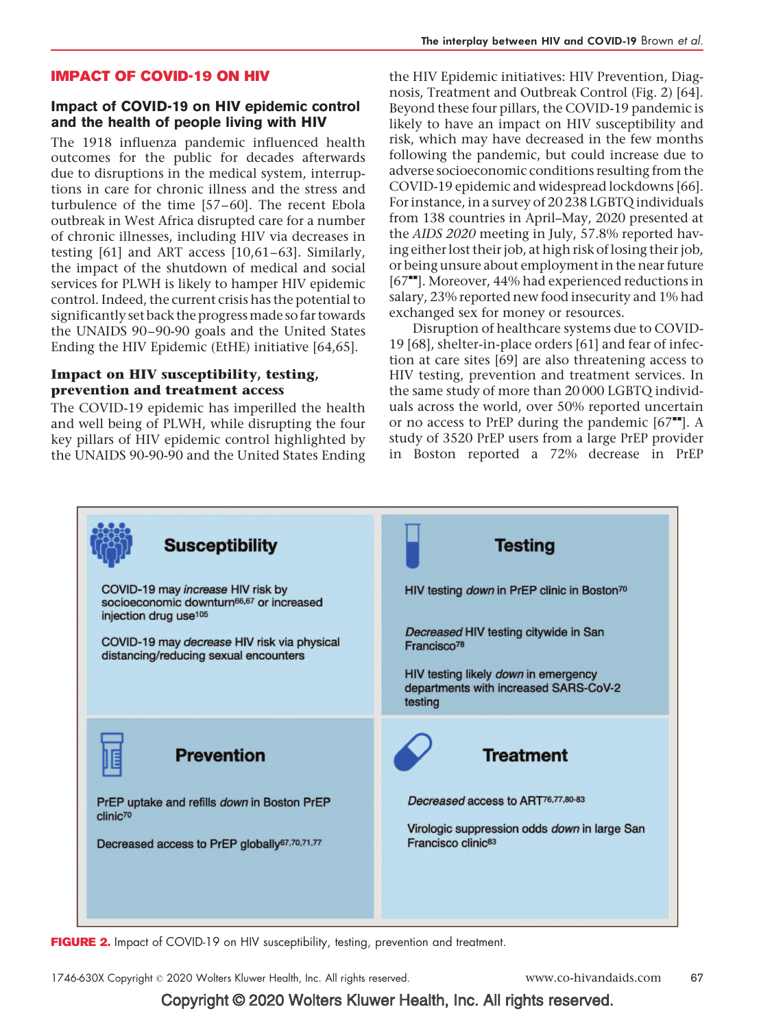#### IMPACT OF COVID-19 ON HIV

#### Impact of COVID-19 on HIV epidemic control and the health of people living with HIV

The 1918 influenza pandemic influenced health outcomes for the public for decades afterwards due to disruptions in the medical system, interruptions in care for chronic illness and the stress and turbulence of the time [57–60]. The recent Ebola outbreak in West Africa disrupted care for a number of chronic illnesses, including HIV via decreases in testing [61] and ART access [10,61–63]. Similarly, the impact of the shutdown of medical and social services for PLWH is likely to hamper HIV epidemic control. Indeed, the current crisis has the potential to significantly set back the progressmade so far towards the UNAIDS 90–90-90 goals and the United States Ending the HIV Epidemic (EtHE) initiative [64,65].

### Impact on HIV susceptibility, testing, prevention and treatment access

The COVID-19 epidemic has imperilled the health and well being of PLWH, while disrupting the four key pillars of HIV epidemic control highlighted by the UNAIDS 90-90-90 and the United States Ending

the HIV Epidemic initiatives: HIV Prevention, Diagnosis, Treatment and Outbreak Control (Fig. 2) [64]. Beyond these four pillars, the COVID-19 pandemic is likely to have an impact on HIV susceptibility and risk, which may have decreased in the few months following the pandemic, but could increase due to adverse socioeconomic conditions resulting from the COVID-19 epidemic and widespread lockdowns [66]. For instance, in a survey of 20 238 LGBTQ individuals from 138 countries in April–May, 2020 presented at the AIDS 2020 meeting in July, 57.8% reported having either lost their job, at high risk of losing their job, or being unsure about employment in the near future [67<sup> $+$ </sup>]. Moreover, 44% had experienced reductions in salary, 23% reported new food insecurity and 1% had exchanged sex for money or resources.

Disruption of healthcare systems due to COVID-19 [68], shelter-in-place orders [61] and fear of infection at care sites [69] are also threatening access to HIV testing, prevention and treatment services. In the same study of more than 20 000 LGBTQ individuals across the world, over 50% reported uncertain or no access to PrEP during the pandemic  $[67$ <sup> $\text{m}$ </sup>]. A study of 3520 PrEP users from a large PrEP provider in Boston reported a 72% decrease in PrEP



FIGURE 2. Impact of COVID-19 on HIV susceptibility, testing, prevention and treatment.

1746-630X Copyright © 2020 Wolters Kluwer Health, Inc. All rights reserved. www.co-hivandaids.com 67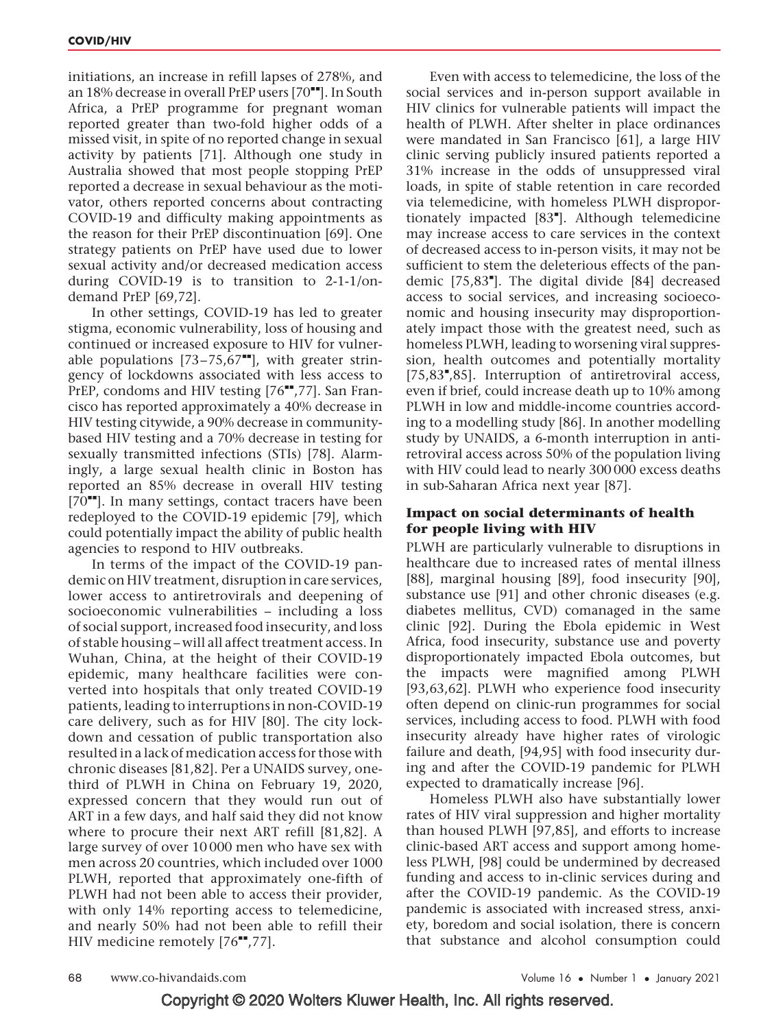initiations, an increase in refill lapses of 278%, and an 18% decrease in overall PrEP users  $[70<sup>**</sup>]$ . In South Africa, a PrEP programme for pregnant woman reported greater than two-fold higher odds of a missed visit, in spite of no reported change in sexual activity by patients [71]. Although one study in Australia showed that most people stopping PrEP reported a decrease in sexual behaviour as the motivator, others reported concerns about contracting COVID-19 and difficulty making appointments as the reason for their PrEP discontinuation [69]. One strategy patients on PrEP have used due to lower sexual activity and/or decreased medication access during COVID-19 is to transition to 2-1-1/ondemand PrEP [69,72].

In other settings, COVID-19 has led to greater stigma, economic vulnerability, loss of housing and continued or increased exposure to HIV for vulnerable populations  $[73-75,67$ <sup>---</sup>], with greater stringency of lockdowns associated with less access to PrEP, condoms and HIV testing  $[76"$ ,77]. San Francisco has reported approximately a 40% decrease in HIV testing citywide, a 90% decrease in communitybased HIV testing and a 70% decrease in testing for sexually transmitted infections (STIs) [78]. Alarmingly, a large sexual health clinic in Boston has reported an 85% decrease in overall HIV testing  $[70$ <sup> $+$ </sup>]. In many settings, contact tracers have been redeployed to the COVID-19 epidemic [79], which could potentially impact the ability of public health agencies to respond to HIV outbreaks.

In terms of the impact of the COVID-19 pandemic on HIV treatment, disruption in care services, lower access to antiretrovirals and deepening of socioeconomic vulnerabilities – including a loss of social support, increased food insecurity, and loss of stable housing – will all affect treatment access. In Wuhan, China, at the height of their COVID-19 epidemic, many healthcare facilities were converted into hospitals that only treated COVID-19 patients, leading to interruptions in non-COVID-19 care delivery, such as for HIV [80]. The city lockdown and cessation of public transportation also resulted in a lack of medication access for those with chronic diseases [81,82]. Per a UNAIDS survey, onethird of PLWH in China on February 19, 2020, expressed concern that they would run out of ART in a few days, and half said they did not know where to procure their next ART refill [81,82]. A large survey of over 10 000 men who have sex with men across 20 countries, which included over 1000 PLWH, reported that approximately one-fifth of PLWH had not been able to access their provider, with only 14% reporting access to telemedicine, and nearly 50% had not been able to refill their HIV medicine remotely  $[76"$ ,77].

Even with access to telemedicine, the loss of the social services and in-person support available in HIV clinics for vulnerable patients will impact the health of PLWH. After shelter in place ordinances were mandated in San Francisco [61], a large HIV clinic serving publicly insured patients reported a 31% increase in the odds of unsuppressed viral loads, in spite of stable retention in care recorded via telemedicine, with homeless PLWH disproportionately impacted [83"]. Although telemedicine may increase access to care services in the context of decreased access to in-person visits, it may not be sufficient to stem the deleterious effects of the pandemic [75,83"]. The digital divide [84] decreased access to social services, and increasing socioeconomic and housing insecurity may disproportionately impact those with the greatest need, such as homeless PLWH, leading to worsening viral suppression, health outcomes and potentially mortality [75,83",85]. Interruption of antiretroviral access, even if brief, could increase death up to 10% among PLWH in low and middle-income countries according to a modelling study [86]. In another modelling study by UNAIDS, a 6-month interruption in antiretroviral access across 50% of the population living with HIV could lead to nearly 300 000 excess deaths in sub-Saharan Africa next year [87].

### Impact on social determinants of health for people living with HIV

PLWH are particularly vulnerable to disruptions in healthcare due to increased rates of mental illness [88], marginal housing [89], food insecurity [90], substance use [91] and other chronic diseases (e.g. diabetes mellitus, CVD) comanaged in the same clinic [92]. During the Ebola epidemic in West Africa, food insecurity, substance use and poverty disproportionately impacted Ebola outcomes, but the impacts were magnified among PLWH [93,63,62]. PLWH who experience food insecurity often depend on clinic-run programmes for social services, including access to food. PLWH with food insecurity already have higher rates of virologic failure and death, [94,95] with food insecurity during and after the COVID-19 pandemic for PLWH expected to dramatically increase [96].

Homeless PLWH also have substantially lower rates of HIV viral suppression and higher mortality than housed PLWH [97,85], and efforts to increase clinic-based ART access and support among homeless PLWH, [98] could be undermined by decreased funding and access to in-clinic services during and after the COVID-19 pandemic. As the COVID-19 pandemic is associated with increased stress, anxiety, boredom and social isolation, there is concern that substance and alcohol consumption could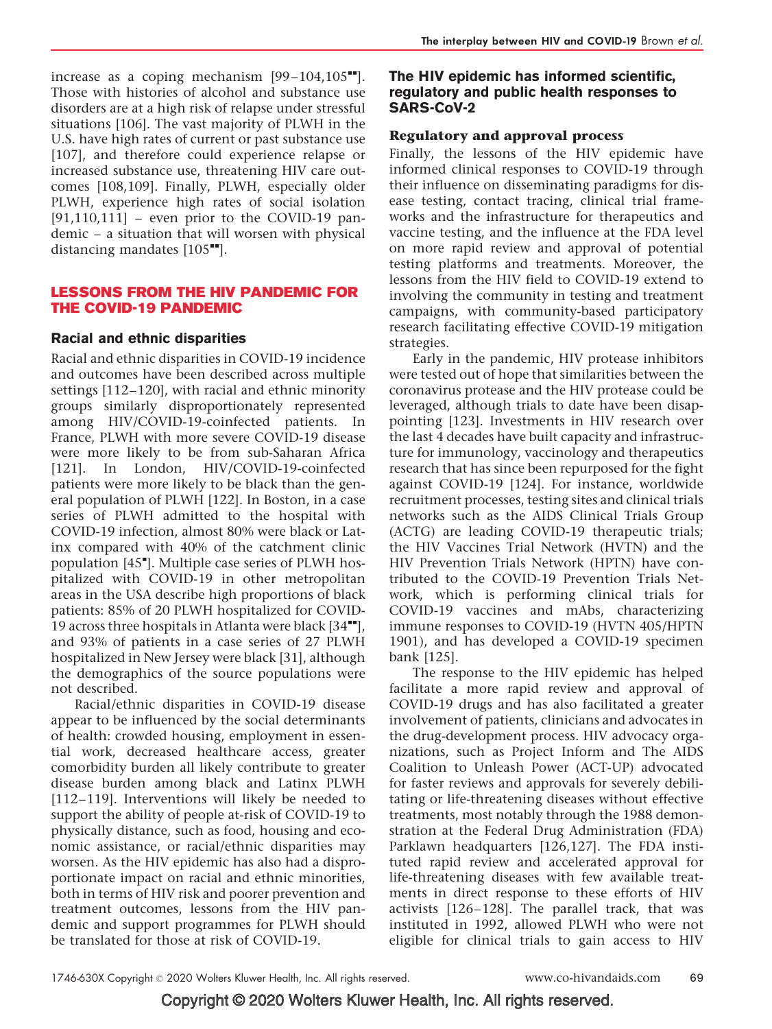increase as a coping mechanism  $[99-104,105$ <sup> $H$ </sup>]. Those with histories of alcohol and substance use disorders are at a high risk of relapse under stressful situations [106]. The vast majority of PLWH in the U.S. have high rates of current or past substance use [107], and therefore could experience relapse or increased substance use, threatening HIV care outcomes [108,109]. Finally, PLWH, especially older PLWH, experience high rates of social isolation  $[91,110,111]$  – even prior to the COVID-19 pandemic – a situation that will worsen with physical distancing mandates  $[105$ <sup> $H$ </sup>].

# LESSONS FROM THE HIV PANDEMIC FOR THE COVID-19 PANDEMIC

# Racial and ethnic disparities

Racial and ethnic disparities in COVID-19 incidence and outcomes have been described across multiple settings [112–120], with racial and ethnic minority groups similarly disproportionately represented among HIV/COVID-19-coinfected patients. In France, PLWH with more severe COVID-19 disease were more likely to be from sub-Saharan Africa [121]. In London, HIV/COVID-19-coinfected patients were more likely to be black than the general population of PLWH [122]. In Boston, in a case series of PLWH admitted to the hospital with COVID-19 infection, almost 80% were black or Latinx compared with 40% of the catchment clinic population [45"]. Multiple case series of PLWH hospitalized with COVID-19 in other metropolitan areas in the USA describe high proportions of black patients: 85% of 20 PLWH hospitalized for COVID-19 across three hospitals in Atlanta were black  $[34$ <sup> $H$ </sup>], and 93% of patients in a case series of 27 PLWH hospitalized in New Jersey were black [31], although the demographics of the source populations were not described.

Racial/ethnic disparities in COVID-19 disease appear to be influenced by the social determinants of health: crowded housing, employment in essential work, decreased healthcare access, greater comorbidity burden all likely contribute to greater disease burden among black and Latinx PLWH [112–119]. Interventions will likely be needed to support the ability of people at-risk of COVID-19 to physically distance, such as food, housing and economic assistance, or racial/ethnic disparities may worsen. As the HIV epidemic has also had a disproportionate impact on racial and ethnic minorities, both in terms of HIV risk and poorer prevention and treatment outcomes, lessons from the HIV pandemic and support programmes for PLWH should be translated for those at risk of COVID-19.

# The HIV epidemic has informed scientific, regulatory and public health responses to SARS-CoV-2

# Regulatory and approval process

Finally, the lessons of the HIV epidemic have informed clinical responses to COVID-19 through their influence on disseminating paradigms for disease testing, contact tracing, clinical trial frameworks and the infrastructure for therapeutics and vaccine testing, and the influence at the FDA level on more rapid review and approval of potential testing platforms and treatments. Moreover, the lessons from the HIV field to COVID-19 extend to involving the community in testing and treatment campaigns, with community-based participatory research facilitating effective COVID-19 mitigation strategies.

Early in the pandemic, HIV protease inhibitors were tested out of hope that similarities between the coronavirus protease and the HIV protease could be leveraged, although trials to date have been disappointing [123]. Investments in HIV research over the last 4 decades have built capacity and infrastructure for immunology, vaccinology and therapeutics research that has since been repurposed for the fight against COVID-19 [124]. For instance, worldwide recruitment processes, testing sites and clinical trials networks such as the AIDS Clinical Trials Group (ACTG) are leading COVID-19 therapeutic trials; the HIV Vaccines Trial Network (HVTN) and the HIV Prevention Trials Network (HPTN) have contributed to the COVID-19 Prevention Trials Network, which is performing clinical trials for COVID-19 vaccines and mAbs, characterizing immune responses to COVID-19 (HVTN 405/HPTN 1901), and has developed a COVID-19 specimen bank [125].

The response to the HIV epidemic has helped facilitate a more rapid review and approval of COVID-19 drugs and has also facilitated a greater involvement of patients, clinicians and advocates in the drug-development process. HIV advocacy organizations, such as Project Inform and The AIDS Coalition to Unleash Power (ACT-UP) advocated for faster reviews and approvals for severely debilitating or life-threatening diseases without effective treatments, most notably through the 1988 demonstration at the Federal Drug Administration (FDA) Parklawn headquarters [126,127]. The FDA instituted rapid review and accelerated approval for life-threatening diseases with few available treatments in direct response to these efforts of HIV activists [126–128]. The parallel track, that was instituted in 1992, allowed PLWH who were not eligible for clinical trials to gain access to HIV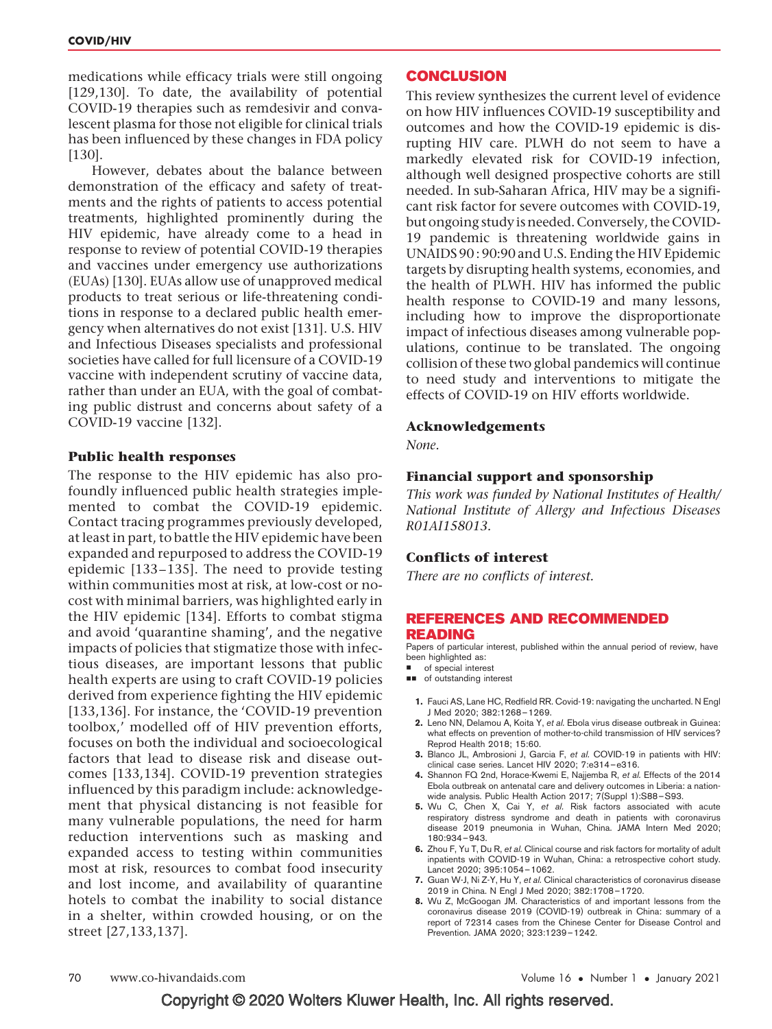medications while efficacy trials were still ongoing [129,130]. To date, the availability of potential COVID-19 therapies such as remdesivir and convalescent plasma for those not eligible for clinical trials has been influenced by these changes in FDA policy [130].

However, debates about the balance between demonstration of the efficacy and safety of treatments and the rights of patients to access potential treatments, highlighted prominently during the HIV epidemic, have already come to a head in response to review of potential COVID-19 therapies and vaccines under emergency use authorizations (EUAs) [130]. EUAs allow use of unapproved medical products to treat serious or life-threatening conditions in response to a declared public health emergency when alternatives do not exist [131]. U.S. HIV and Infectious Diseases specialists and professional societies have called for full licensure of a COVID-19 vaccine with independent scrutiny of vaccine data, rather than under an EUA, with the goal of combating public distrust and concerns about safety of a COVID-19 vaccine [132].

#### Public health responses

The response to the HIV epidemic has also profoundly influenced public health strategies implemented to combat the COVID-19 epidemic. Contact tracing programmes previously developed, at least in part, to battle the HIV epidemic have been expanded and repurposed to address the COVID-19 epidemic [133–135]. The need to provide testing within communities most at risk, at low-cost or nocost with minimal barriers, was highlighted early in the HIV epidemic [134]. Efforts to combat stigma and avoid 'quarantine shaming', and the negative impacts of policies that stigmatize those with infectious diseases, are important lessons that public health experts are using to craft COVID-19 policies derived from experience fighting the HIV epidemic [133,136]. For instance, the 'COVID-19 prevention toolbox,' modelled off of HIV prevention efforts, focuses on both the individual and socioecological factors that lead to disease risk and disease outcomes [133,134]. COVID-19 prevention strategies influenced by this paradigm include: acknowledgement that physical distancing is not feasible for many vulnerable populations, the need for harm reduction interventions such as masking and expanded access to testing within communities most at risk, resources to combat food insecurity and lost income, and availability of quarantine hotels to combat the inability to social distance in a shelter, within crowded housing, or on the street [27,133,137].

#### **CONCLUSION**

This review synthesizes the current level of evidence on how HIV influences COVID-19 susceptibility and outcomes and how the COVID-19 epidemic is disrupting HIV care. PLWH do not seem to have a markedly elevated risk for COVID-19 infection, although well designed prospective cohorts are still needed. In sub-Saharan Africa, HIV may be a significant risk factor for severe outcomes with COVID-19, but ongoing study is needed. Conversely, the COVID-19 pandemic is threatening worldwide gains in UNAIDS 90 : 90:90 and U.S. Ending the HIV Epidemic targets by disrupting health systems, economies, and the health of PLWH. HIV has informed the public health response to COVID-19 and many lessons, including how to improve the disproportionate impact of infectious diseases among vulnerable populations, continue to be translated. The ongoing collision of these two global pandemics will continue to need study and interventions to mitigate the effects of COVID-19 on HIV efforts worldwide.

#### Acknowledgements

None.

#### Financial support and sponsorship

This work was funded by National Institutes of Health/ National Institute of Allergy and Infectious Diseases R01AI158013.

#### Conflicts of interest

There are no conflicts of interest.

#### REFERENCES AND RECOMMENDED READING

Papers of particular interest, published within the annual period of review, have been highlighted as:

- of special interest
- $\Box$  of outstanding interest
	- 1. Fauci AS, Lane HC, Redfield RR. Covid-19: navigating the uncharted. N Engl J Med 2020; 382:1268–1269.
	- 2. Leno NN, Delamou A, Koita Y, et al. Ebola virus disease outbreak in Guinea: what effects on prevention of mother-to-child transmission of HIV services? Reprod Health 2018; 15:60.
	- 3. Blanco JL, Ambrosioni J, Garcia F, et al. COVID-19 in patients with HIV: clinical case series. Lancet HIV 2020; 7:e314–e316.
	- 4. Shannon FQ 2nd, Horace-Kwemi E, Najjemba R, et al. Effects of the 2014 Ebola outbreak on antenatal care and delivery outcomes in Liberia: a nationwide analysis. Public Health Action 2017; 7(Suppl 1):S88–S93.
	- **5.** Wu C, Chen X, Cai Y, et al. Risk factors associated with acute respiratory distress syndrome and death in patients with coronavirus disease 2019 pneumonia in Wuhan, China. JAMA Intern Med 2020; 180:934–943.
	- 6. Zhou F, Yu T, Du R, et al. Clinical course and risk factors for mortality of adult inpatients with COVID-19 in Wuhan, China: a retrospective cohort study. Lancet 2020; 395:1054–1062.
	- 7. Guan W-J, Ni Z-Y, Hu Y, et al. Clinical characteristics of coronavirus disease 2019 in China. N Engl J Med 2020; 382:1708–1720.
	- 8. Wu Z, McGoogan JM. Characteristics of and important lessons from the coronavirus disease 2019 (COVID-19) outbreak in China: summary of a report of 72314 cases from the Chinese Center for Disease Control and Prevention. JAMA 2020; 323:1239–1242.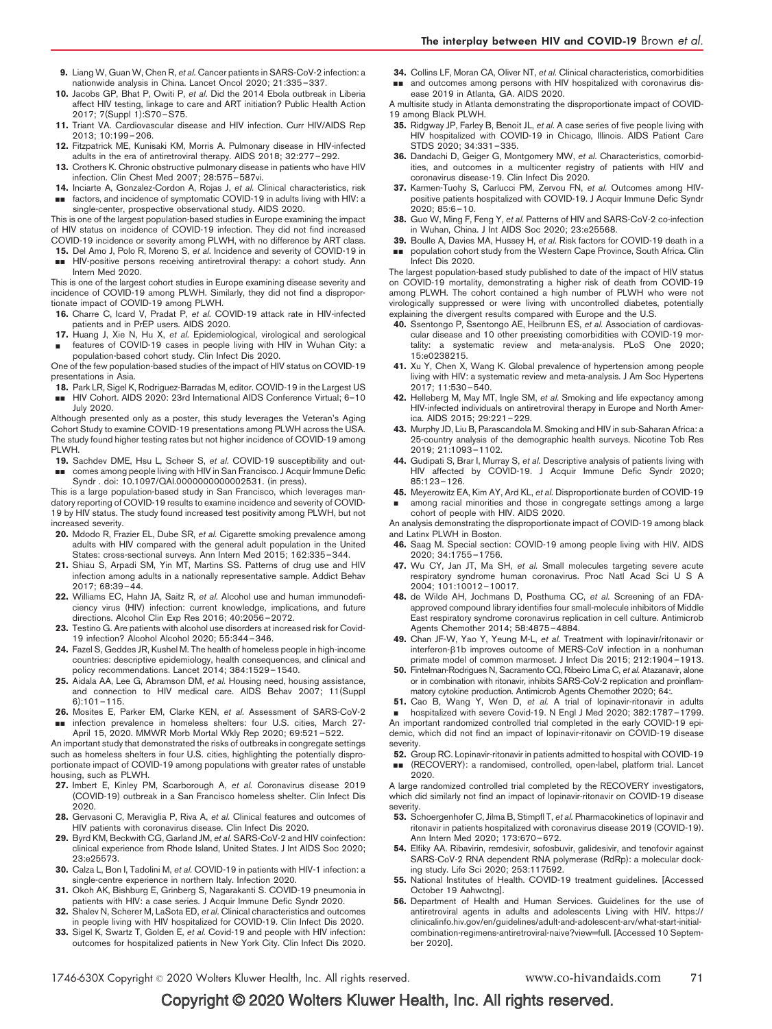- 9. Liang W, Guan W, Chen R, et al. Cancer patients in SARS-CoV-2 infection: a nationwide analysis in China. Lancet Oncol 2020; 21:335–337.
- 10. Jacobs GP, Bhat P, Owiti P, et al. Did the 2014 Ebola outbreak in Liberia affect HIV testing, linkage to care and ART initiation? Public Health Action 2017; 7(Suppl 1):S70–S75.
- 11. Triant VA. Cardiovascular disease and HIV infection. Curr HIV/AIDS Rep 2013; 10:199–206.
- 12. Fitzpatrick ME, Kunisaki KM, Morris A. Pulmonary disease in HIV-infected adults in the era of antiretroviral therapy. AIDS 2018; 32:277–292.
- 13. Crothers K. Chronic obstructive pulmonary disease in patients who have HIV infection. Clin Chest Med 2007; 28:575–587vi.
- 14. Inciarte A, Gonzalez-Cordon A, Rojas J, et al. Clinical characteristics, risk && factors, and incidence of symptomatic COVID-19 in adults living with HIV: a single-center, prospective observational study. AIDS 2020.

This is one of the largest population-based studies in Europe examining the impact of HIV status on incidence of COVID-19 infection. They did not find increased COVID-19 incidence or severity among PLWH, with no difference by ART class.

- 15. Del Amo J, Polo R, Moreno S, et al. Incidence and severity of COVID-19 in
- **BB** HIV-positive persons receiving antiretroviral therapy: a cohort study. Ann Intern Med 2020.

This is one of the largest cohort studies in Europe examining disease severity and incidence of COVID-19 among PLWH. Similarly, they did not find a disproportionate impact of COVID-19 among PLWH.

- 16. Charre C, Icard V, Pradat P, et al. COVID-19 attack rate in HIV-infected patients and in PrEP users. AIDS 2020.
- 17. & Huang J, Xie N, Hu X, et al. Epidemiological, virological and serological features of COVID-19 cases in people living with HIV in Wuhan City: a population-based cohort study. Clin Infect Dis 2020.

One of the few population-based studies of the impact of HIV status on COVID-19 presentations in Asia.

18. Park LR, Sigel K, Rodriguez-Barradas M, editor. COVID-19 in the Largest US

■■ HIV Cohort. AIDS 2020: 23rd International AIDS Conference Virtual; 6-10 July 2020.

Although presented only as a poster, this study leverages the Veteran's Aging Cohort Study to examine COVID-19 presentations among PLWH across the USA. The study found higher testing rates but not higher incidence of COVID-19 among PL WH

- 19. Sachdev DME, Hsu L, Scheer S, et al. COVID-19 susceptibility and out-&& comes among people living with HIV in San Francisco. J Acquir Immune Defic
- Syndr . doi: 10.1097/QAI.0000000000002531. (in press).

This is a large population-based study in San Francisco, which leverages mandatory reporting of COVID-19 results to examine incidence and severity of COVID-19 by HIV status. The study found increased test positivity among PLWH, but not increased severity.

- 20. Mdodo R, Frazier EL, Dube SR, et al. Cigarette smoking prevalence among adults with HIV compared with the general adult population in the United States: cross-sectional surveys. Ann Intern Med 2015; 162:335–344.
- 21. Shiau S, Arpadi SM, Yin MT, Martins SS. Patterns of drug use and HIV infection among adults in a nationally representative sample. Addict Behav 2017; 68:39–44.
- 22. Williams EC, Hahn JA, Saitz R, et al. Alcohol use and human immunodeficiency virus (HIV) infection: current knowledge, implications, and future directions. Alcohol Clin Exp Res 2016; 40:2056–2072.
- 23. Testino G. Are patients with alcohol use disorders at increased risk for Covid-19 infection? Alcohol Alcohol 2020; 55:344–346.
- 24. Fazel S, Geddes JR, Kushel M. The health of homeless people in high-income countries: descriptive epidemiology, health consequences, and clinical and policy recommendations. Lancet 2014; 384:1529–1540.
- 25. Aidala AA, Lee G, Abramson DM, et al. Housing need, housing assistance, and connection to HIV medical care. AIDS Behav 2007; 11(Suppl 6):101–115.
- 26. && Mosites E, Parker EM, Clarke KEN, et al. Assessment of SARS-CoV-2 infection prevalence in homeless shelters: four U.S. cities, March 27-

April 15, 2020. MMWR Morb Mortal Wkly Rep 2020; 69:521–522. An important study that demonstrated the risks of outbreaks in congregate settings

such as homeless shelters in four U.S. cities, highlighting the potentially disproportionate impact of COVID-19 among populations with greater rates of unstable housing, such as PLWH.

- 27. Imbert E, Kinley PM, Scarborough A, et al. Coronavirus disease 2019 (COVID-19) outbreak in a San Francisco homeless shelter. Clin Infect Dis 2020.
- 28. Gervasoni C, Meraviglia P, Riva A, et al. Clinical features and outcomes of HIV patients with coronavirus disease. Clin Infect Dis 2020.
- 29. Byrd KM, Beckwith CG, Garland JM, et al. SARS-CoV-2 and HIV coinfection: clinical experience from Rhode Island, United States. J Int AIDS Soc 2020; 23:e25573.
- 30. Calza L, Bon I, Tadolini M, et al. COVID-19 in patients with HIV-1 infection: a single-centre experience in northern Italy. Infection 2020.
- 31. Okoh AK, Bishburg E, Grinberg S, Nagarakanti S. COVID-19 pneumonia in patients with HIV: a case series. J Acquir Immune Defic Syndr 2020.
- Shalev N, Scherer M, LaSota ED, et al. Clinical characteristics and outcomes in people living with HIV hospitalized for COVID-19. Clin Infect Dis 2020.
- 33. Sigel K, Swartz T, Golden E, et al. Covid-19 and people with HIV infection: outcomes for hospitalized patients in New York City. Clin Infect Dis 2020.

34. Collins LF, Moran CA, Oliver NT, et al. Clinical characteristics, comorbidities **ad** and outcomes among persons with HIV hospitalized with coronavirus disease 2019 in Atlanta, GA. AIDS 2020.

A multisite study in Atlanta demonstrating the disproportionate impact of COVID-19 among Black PLWH.

- 35. Ridgway JP, Farley B, Benoit JL, et al. A case series of five people living with HIV hospitalized with COVID-19 in Chicago, Illinois. AIDS Patient Care STDS 2020; 34:331–335.
- 36. Dandachi D, Geiger G, Montgomery MW, et al. Characteristics, comorbidities, and outcomes in a multicenter registry of patients with HIV and coronavirus disease-19. Clin Infect Dis 2020.
- 37. Karmen-Tuohy S, Carlucci PM, Zervou FN, et al. Outcomes among HIVpositive patients hospitalized with COVID-19. J Acquir Immune Defic Syndr 2020; 85:6–10.
- 38. Guo W, Ming F, Feng Y, et al. Patterns of HIV and SARS-CoV-2 co-infection in Wuhan, China. J Int AIDS Soc 2020; 23:e25568.
- 39. Boulle A, Davies MA, Hussey H, et al. Risk factors for COVID-19 death in a && population cohort study from the Western Cape Province, South Africa. Clin Infect Dis 2020.

The largest population-based study published to date of the impact of HIV status on COVID-19 mortality, demonstrating a higher risk of death from COVID-19 among PLWH. The cohort contained a high number of PLWH who were not virologically suppressed or were living with uncontrolled diabetes, potentially explaining the divergent results compared with Europe and the U.S.

- 40. Ssentongo P, Ssentongo AE, Heilbrunn ES, et al. Association of cardiovascular disease and 10 other preexisting comorbidities with COVID-19 mortality: a systematic review and meta-analysis. PLoS One 2020; 15:e0238215.
- 41. Xu Y, Chen X, Wang K. Global prevalence of hypertension among people living with HIV: a systematic review and meta-analysis. J Am Soc Hypertens 2017; 11:530–540.
- 42. Helleberg M, May MT, Ingle SM, et al. Smoking and life expectancy among HIV-infected individuals on antiretroviral therapy in Europe and North America. AIDS 2015; 29:221–229.
- 43. Murphy JD, Liu B, Parascandola M. Smoking and HIV in sub-Saharan Africa: a 25-country analysis of the demographic health surveys. Nicotine Tob Res 2019; 21:1093–1102.
- 44. Gudipati S, Brar I, Murray S, et al. Descriptive analysis of patients living with HIV affected by COVID-19. J Acquir Immune Defic Syndr 2020; 85:123–126.
- 45. Meyerowitz EA, Kim AY, Ard KL, et al. Disproportionate burden of COVID-19 & among racial minorities and those in congregate settings among a large

cohort of people with HIV. AIDS 2020. An analysis demonstrating the disproportionate impact of COVID-19 among black and Latinx PLWH in Boston.

- 46. Saag M. Special section: COVID-19 among people living with HIV. AIDS 2020; 34:1755–1756.
- 47. Wu CY, Jan JT, Ma SH, et al. Small molecules targeting severe acute respiratory syndrome human coronavirus. Proc Natl Acad Sci U S A 2004; 101:10012–10017.
- 48. de Wilde AH, Jochmans D, Posthuma CC, et al. Screening of an FDAapproved compound library identifies four small-molecule inhibitors of Middle East respiratory syndrome coronavirus replication in cell culture. Antimicrob Agents Chemother 2014; 58:4875–4884.
- 49. Chan JF-W, Yao Y, Yeung M-L, et al. Treatment with lopinavir/ritonavir or interferon-β1b improves outcome of MERS-CoV infection in a nonhuman primate model of common marmoset. J Infect Dis 2015; 212:1904–1913.
- 50. Fintelman-Rodrigues N, Sacramento CQ, Ribeiro Lima C, et al. Atazanavir, alone or in combination with ritonavir, inhibits SARS-CoV-2 replication and proinflammatory cytokine production. Antimicrob Agents Chemother 2020; 64:.
- 51. Cao B, Wang Y, Wen D, et al. A trial of lopinavir-ritonavir in adults
- & hospitalized with severe Covid-19. N Engl J Med 2020; 382:1787–1799.

An important randomized controlled trial completed in the early COVID-19 epidemic, which did not find an impact of lopinavir-ritonavir on COVID-19 disease severity.

- 52. Group RC. Lopinavir-ritonavir in patients admitted to hospital with COVID-19 && (RECOVERY): a randomised, controlled, open-label, platform trial. Lancet
- 2020. A large randomized controlled trial completed by the RECOVERY investigators, which did similarly not find an impact of lopinavir-ritonavir on COVID-19 disease
- severity. 53. Schoergenhofer C, Jilma B, Stimpfl T, et al. Pharmacokinetics of lopinavir and ritonavir in patients hospitalized with coronavirus disease 2019 (COVID-19). Ann Intern Med 2020; 173:670–672.
- 54. Elfiky AA. Ribavirin, remdesivir, sofosbuvir, galidesivir, and tenofovir against SARS-CoV-2 RNA dependent RNA polymerase (RdRp): a molecular docking study. Life Sci 2020; 253:117592.
- 55. National Institutes of Health. COVID-19 treatment guidelines. [Accessed October 19 Aahwctng].
- 56. Department of Health and Human Services. Guidelines for the use of antiretroviral agents in adults and adolescents Living with HIV. https:// clinicalinfo.hiv.gov/en/guidelines/adult-and-adolescent-arv/what-start-initialcombination-regimens-antiretroviral-naive?view=full. [Accessed 10 September 2020].

1746-630X Copyright © 2020 Wolters Kluwer Health, Inc. All rights reserved. www.co-hivandaids.com 71

# Copyright © 2020 Wolters Kluwer Health, Inc. All rights reserved.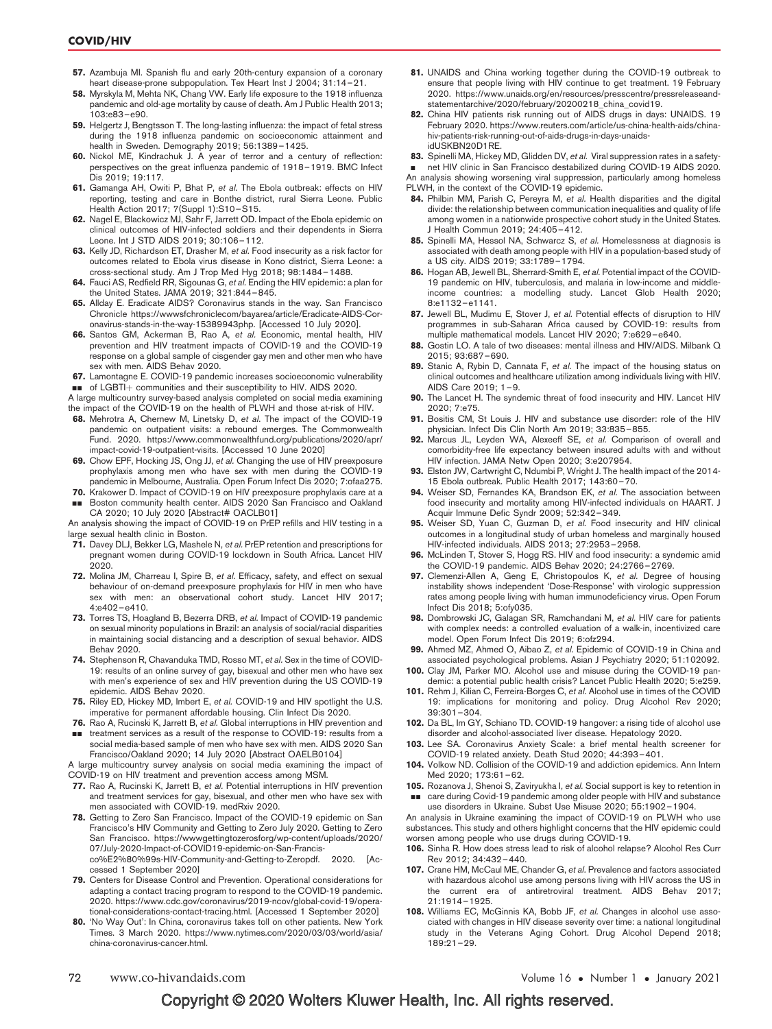- 57. Azambuja MI. Spanish flu and early 20th-century expansion of a coronary heart disease-prone subpopulation. Tex Heart Inst J 2004; 31:14–21. 58. Myrskyla M, Mehta NK, Chang VW. Early life exposure to the 1918 influenza
- pandemic and old-age mortality by cause of death. Am J Public Health 2013; 103:e83–e90.
- 59. Helgertz J, Bengtsson T. The long-lasting influenza: the impact of fetal stress during the 1918 influenza pandemic on socioeconomic attainment and health in Sweden. Demography 2019; 56:1389–1425.
- 60. Nickol ME, Kindrachuk J. A year of terror and a century of reflection: perspectives on the great influenza pandemic of 1918–1919. BMC Infect Dis 2019; 19:117.
- 61. Gamanga AH, Owiti P, Bhat P, et al. The Ebola outbreak: effects on HIV reporting, testing and care in Bonthe district, rural Sierra Leone. Public Health Action 2017; 7(Suppl 1):S10–S15.
- 62. Nagel E, Blackowicz MJ, Sahr F, Jarrett OD. Impact of the Ebola epidemic on clinical outcomes of HIV-infected soldiers and their dependents in Sierra Leone. Int J STD AIDS 2019; 30:106–112.
- 63. Kelly JD, Richardson ET, Drasher M, et al. Food insecurity as a risk factor for outcomes related to Ebola virus disease in Kono district, Sierra Leone: a cross-sectional study. Am J Trop Med Hyg 2018; 98:1484–1488.
- 64. Fauci AS, Redfield RR, Sigounas G, et al. Ending the HIV epidemic: a plan for the United States. JAMA 2019; 321:844–845.
- 65. Allday E. Eradicate AIDS? Coronavirus stands in the way. San Francisco Chronicle https://wwwsfchroniclecom/bayarea/article/Eradicate-AIDS-Coronavirus-stands-in-the-way-15389943php. [Accessed 10 July 2020].
- 66. Santos GM, Ackerman B, Rao A, et al. Economic, mental health, HIV prevention and HIV treatment impacts of COVID-19 and the COVID-19 response on a global sample of cisgender gay men and other men who have sex with men. AIDS Behav 2020.

67. Lamontagne E. COVID-19 pandemic increases socioeconomic vulnerability **BUT** of LGBTI+ communities and their susceptibility to HIV. AIDS 2020.

A large multicountry survey-based analysis completed on social media examining the impact of the COVID-19 on the health of PLWH and those at-risk of HIV.

- 68. Mehrotra A, Chernew M, Linetsky D, et al. The impact of the COVID-19 pandemic on outpatient visits: a rebound emerges. The Commonwealth Fund. 2020. https://www.commonwealthfund.org/publications/2020/apr/ impact-covid-19-outpatient-visits. [Accessed 10 June 2020]
- 69. Chow EPF, Hocking JS, Ong JJ, et al. Changing the use of HIV preexposure prophylaxis among men who have sex with men during the COVID-19 pandemic in Melbourne, Australia. Open Forum Infect Dis 2020; 7:ofaa275.
- 70. Krakower D. Impact of COVID-19 on HIV preexposure prophylaxis care at a && Boston community health center. AIDS 2020 San Francisco and Oakland

CA 2020; 10 July 2020 [Abstract# OACLB01] An analysis showing the impact of COVID-19 on PrEP refills and HIV testing in a large sexual health clinic in Boston.

- 71. Davey DLJ, Bekker LG, Mashele N, et al. PrEP retention and prescriptions for pregnant women during COVID-19 lockdown in South Africa. Lancet HIV 2020.
- 72. Molina JM, Charreau I, Spire B, et al. Efficacy, safety, and effect on sexual behaviour of on-demand preexposure prophylaxis for HIV in men who have sex with men: an observational cohort study. Lancet HIV 2017; 4:e402–e410.
- 73. Torres TS, Hoagland B, Bezerra DRB, et al. Impact of COVID-19 pandemic on sexual minority populations in Brazil: an analysis of social/racial disparities in maintaining social distancing and a description of sexual behavior. AIDS Behav 2020.
- 74. Stephenson R, Chavanduka TMD, Rosso MT, et al. Sex in the time of COVID-19: results of an online survey of gay, bisexual and other men who have sex with men's experience of sex and HIV prevention during the US COVID-19 epidemic. AIDS Behav 2020.
- 75. Riley ED, Hickey MD, Imbert E, et al. COVID-19 and HIV spotlight the U.S. imperative for permanent affordable housing. Clin Infect Dis 2020.
- 76. Rao A, Rucinski K, Jarrett B, et al. Global interruptions in HIV prevention and **THE THE SERVICES AS A result of the response to COVID-19: results from a** social media-based sample of men who have sex with men. AIDS 2020 San

Francisco/Oakland 2020; 14 July 2020 [Abstract OAELB0104] A large multicountry survey analysis on social media examining the impact of COVID-19 on HIV treatment and prevention access among MSM.

- 
- 77. Rao A, Rucinski K, Jarrett B, et al. Potential interruptions in HIV prevention and treatment services for gay, bisexual, and other men who have sex with men associated with COVID-19. medRxiv 2020.
- 78. Getting to Zero San Francisco. Impact of the COVID-19 epidemic on San Francisco's HIV Community and Getting to Zero July 2020. Getting to Zero San Francisco. https://wwwgettingtozerosforg/wp-content/uploads/2020/ 07/July-2020-Impact-of-COVID19-epidemic-on-San-Francisco%E2%80%99s-HIV-Community-and-Getting-to-Zeropdf. 2020. [Accessed 1 September 2020]
- 79. Centers for Disease Control and Prevention. Operational considerations for adapting a contact tracing program to respond to the COVID-19 pandemic. 2020. https://www.cdc.gov/coronavirus/2019-ncov/global-covid-19/operational-considerations-contact-tracing.html. [Accessed 1 September 2020]
- 80. 'No Way Out': In China, coronavirus takes toll on other patients. New York Times. 3 March 2020. https://www.nytimes.com/2020/03/03/world/asia/ china-coronavirus-cancer.html.
- 81. UNAIDS and China working together during the COVID-19 outbreak to ensure that people living with HIV continue to get treatment. 19 February 2020. https://www.unaids.org/en/resources/presscentre/pressreleaseandstatementarchive/2020/february/20200218\_china\_covid19.
- 82. China HIV patients risk running out of AIDS drugs in days: UNAIDS. 19 February 2020. https://www.reuters.com/article/us-china-health-aids/chinahiv-patients-risk-running-out-of-aids-drugs-in-days-unaidsidUSKBN20D1RE.
- 83. Spinelli MA, Hickey MD, Glidden DV, et al. Viral suppression rates in a safety-

& net HIV clinic in San Francisco destabilized during COVID-19 AIDS 2020.

An analysis showing worsening viral suppression, particularly among homeless PLWH, in the context of the COVID-19 epidemic.

- 84. Philbin MM, Parish C, Pereyra M, et al. Health disparities and the digital divide: the relationship between communication inequalities and quality of life among women in a nationwide prospective cohort study in the United States. J Health Commun 2019; 24:405–412.
- 85. Spinelli MA, Hessol NA, Schwarcz S, et al. Homelessness at diagnosis is associated with death among people with HIV in a population-based study of a US city. AIDS 2019; 33:1789–1794.
- 86. Hogan AB, Jewell BL, Sherrard-Smith E, et al. Potential impact of the COVID-19 pandemic on HIV, tuberculosis, and malaria in low-income and middleincome countries: a modelling study. Lancet Glob Health 2020; 8:e1132–e1141.
- 87. Jewell BL, Mudimu E, Stover J, et al. Potential effects of disruption to HIV programmes in sub-Saharan Africa caused by COVID-19: results from multiple mathematical models. Lancet HIV 2020; 7:e629–e640.
- 88. Gostin LO. A tale of two diseases: mental illness and HIV/AIDS. Milbank Q 2015; 93:687–690.
- 89. Stanic A, Rybin D, Cannata F, et al. The impact of the housing status on clinical outcomes and healthcare utilization among individuals living with HIV. AIDS Care 2019; 1–9.
- 90. The Lancet H. The syndemic threat of food insecurity and HIV. Lancet HIV 2020; 7:e75.
- 91. Bositis CM, St Louis J. HIV and substance use disorder: role of the HIV physician. Infect Dis Clin North Am 2019; 33:835–855.
- 92. Marcus JL, Leyden WA, Alexeeff SE, et al. Comparison of overall and comorbidity-free life expectancy between insured adults with and without HIV infection. JAMA Netw Open 2020; 3:e207954.
- 93. Elston JW, Cartwright C, Ndumbi P, Wright J. The health impact of the 2014- 15 Ebola outbreak. Public Health 2017; 143:60–70.
- 94. Weiser SD, Fernandes KA, Brandson EK, et al. The association between food insecurity and mortality among HIV-infected individuals on HAART. J Acquir Immune Defic Syndr 2009; 52:342–349.
- 95. Weiser SD, Yuan C, Guzman D, et al. Food insecurity and HIV clinical outcomes in a longitudinal study of urban homeless and marginally housed HIV-infected individuals. AIDS 2013; 27:2953–2958.
- 96. McLinden T, Stover S, Hogg RS. HIV and food insecurity: a syndemic amid the COVID-19 pandemic. AIDS Behav 2020; 24:2766–2769.
- 97. Clemenzi-Allen A, Geng E, Christopoulos K, et al. Degree of housing instability shows independent 'Dose-Response' with virologic suppression rates among people living with human immunodeficiency virus. Open Forum Infect Dis 2018; 5:ofy035.
- 98. Dombrowski JC, Galagan SR, Ramchandani M, et al. HIV care for patients with complex needs: a controlled evaluation of a walk-in, incentivized care model. Open Forum Infect Dis 2019; 6:ofz294.
- 99. Ahmed MZ, Ahmed O, Aibao Z, et al. Epidemic of COVID-19 in China and associated psychological problems. Asian J Psychiatry 2020; 51:102092.
- 100. Clay JM, Parker MO. Alcohol use and misuse during the COVID-19 pandemic: a potential public health crisis? Lancet Public Health 2020; 5:e259.
- 101. Rehm J, Kilian C, Ferreira-Borges C, et al. Alcohol use in times of the COVID 19: implications for monitoring and policy. Drug Alcohol Rev 2020; 39:301–304.
- 102. Da BL, Im GY, Schiano TD. COVID-19 hangover: a rising tide of alcohol use disorder and alcohol-associated liver disease. Hepatology 2020.
- 103. Lee SA. Coronavirus Anxiety Scale: a brief mental health screener for COVID-19 related anxiety. Death Stud 2020; 44:393–401.
- 104. Volkow ND. Collision of the COVID-19 and addiction epidemics. Ann Intern Med 2020; 173:61–62.
- 105. Rozanova J, Shenoi S, Zaviryukha I, et al. Social support is key to retention in **EXEC** care during Covid-19 pandemic among older people with HIV and substance use disorders in Ukraine. Subst Use Misuse 2020; 55:1902–1904.

An analysis in Ukraine examining the impact of COVID-19 on PLWH who use substances. This study and others highlight concerns that the HIV epidemic could worsen among people who use drugs during COVID-19.

- 106. Sinha R. How does stress lead to risk of alcohol relapse? Alcohol Res Curr Rev 2012; 34:432–440.
- 107. Crane HM, McCaul ME, Chander G, et al. Prevalence and factors associated with hazardous alcohol use among persons living with HIV across the US in the current era of antiretroviral treatment. AIDS Behav 2017; 21:1914–1925.
- 108. Williams EC, McGinnis KA, Bobb JF, et al. Changes in alcohol use associated with changes in HIV disease severity over time: a national longitudinal study in the Veterans Aging Cohort. Drug Alcohol Depend 2018; 189:21–29.

72 www.co-hivandaids.com Volume 16 Number 1 January 2021